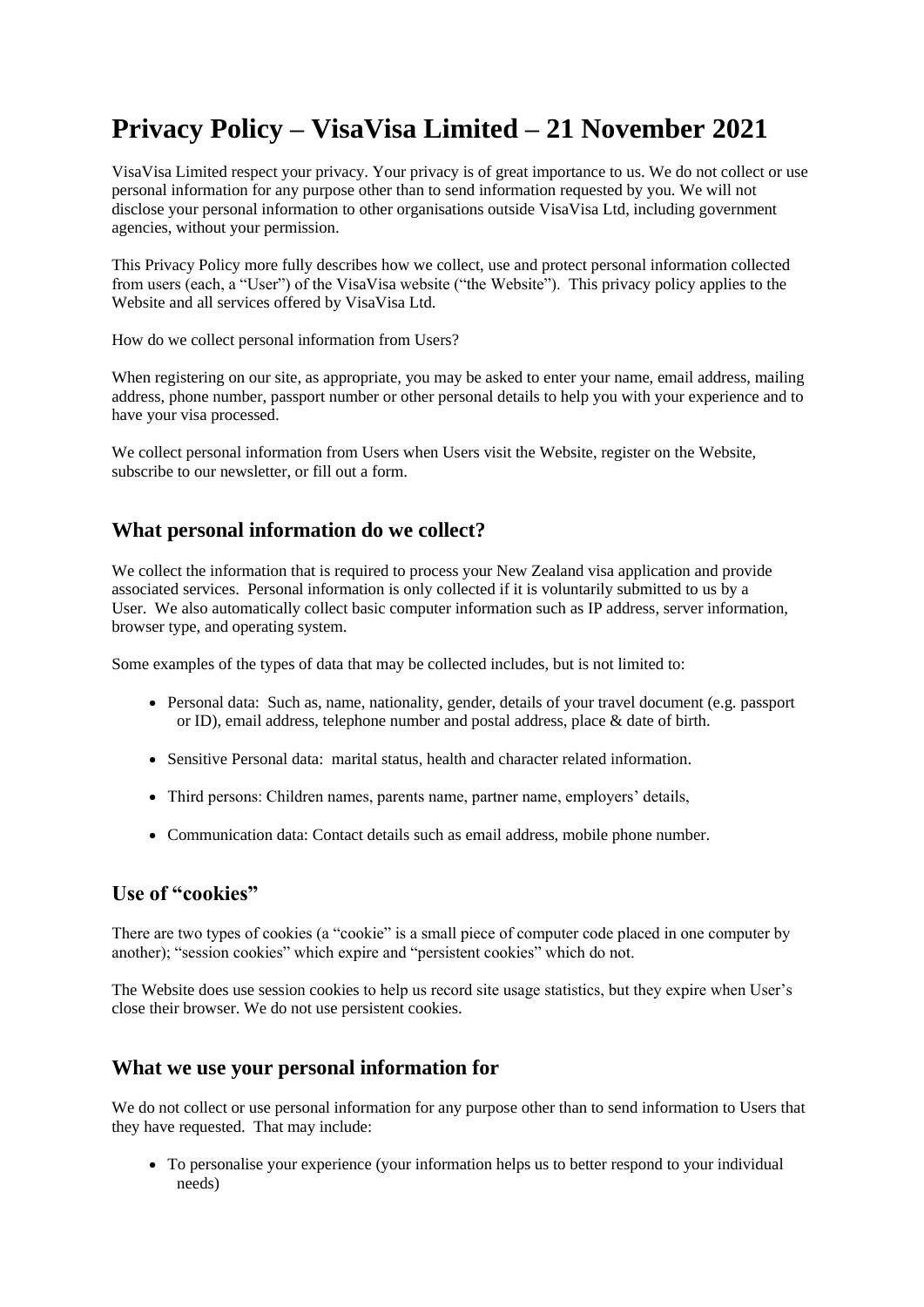# **Privacy Policy – VisaVisa Limited – 21 November 2021**

VisaVisa Limited respect your privacy. Your privacy is of great importance to us. We do not collect or use personal information for any purpose other than to send information requested by you. We will not disclose your personal information to other organisations outside VisaVisa Ltd, including government agencies, without your permission.

This Privacy Policy more fully describes how we collect, use and protect personal information collected from users (each, a "User") of the VisaVisa website ("the Website"). This privacy policy applies to the Website and all services offered by VisaVisa Ltd.

How do we collect personal information from Users?

When registering on our site, as appropriate, you may be asked to enter your name, email address, mailing address, phone number, passport number or other personal details to help you with your experience and to have your visa processed.

We collect personal information from Users when Users visit the Website, register on the Website, subscribe to our newsletter, or fill out a form.

### **What personal information do we collect?**

We collect the information that is required to process your New Zealand visa application and provide associated services. Personal information is only collected if it is voluntarily submitted to us by a User. We also automatically collect basic computer information such as IP address, server information, browser type, and operating system.

Some examples of the types of data that may be collected includes, but is not limited to:

- Personal data: Such as, name, nationality, gender, details of your travel document (e.g. passport or ID), email address, telephone number and postal address, place & date of birth.
- Sensitive Personal data: marital status, health and character related information.
- Third persons: Children names, parents name, partner name, employers' details,
- Communication data: Contact details such as email address, mobile phone number.

#### **Use of "cookies"**

There are two types of cookies (a "cookie" is a small piece of computer code placed in one computer by another); "session cookies" which expire and "persistent cookies" which do not.

The Website does use session cookies to help us record site usage statistics, but they expire when User's close their browser. We do not use persistent cookies.

#### **What we use your personal information for**

We do not collect or use personal information for any purpose other than to send information to Users that they have requested. That may include:

• To personalise your experience (your information helps us to better respond to your individual needs)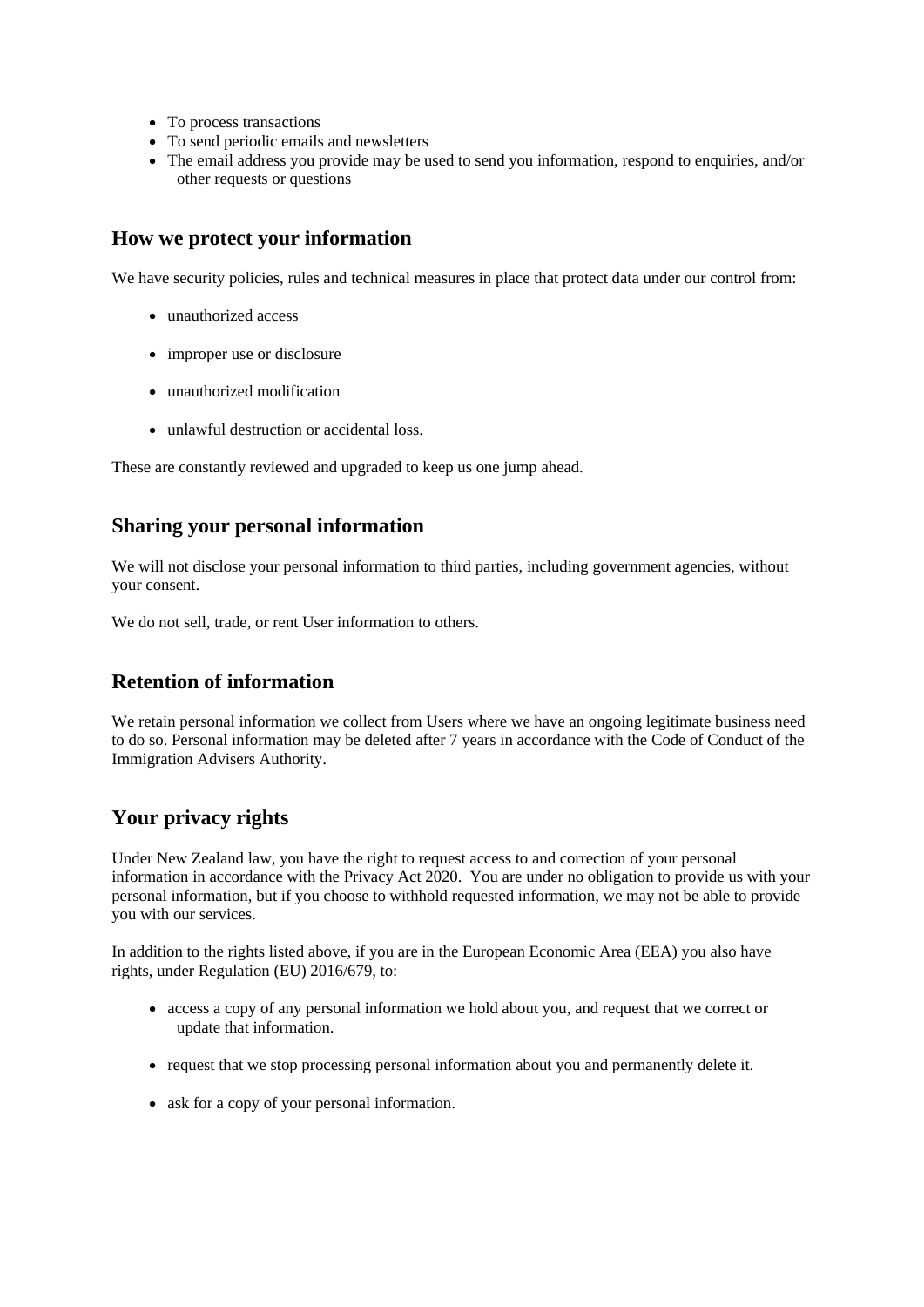- To process transactions
- To send periodic emails and newsletters
- The email address you provide may be used to send you information, respond to enquiries, and/or other requests or questions

#### **How we protect your information**

We have security policies, rules and technical measures in place that protect data under our control from:

- unauthorized access
- improper use or disclosure
- unauthorized modification
- unlawful destruction or accidental loss.

These are constantly reviewed and upgraded to keep us one jump ahead.

#### **Sharing your personal information**

We will not disclose your personal information to third parties, including government agencies, without your consent.

We do not sell, trade, or rent User information to others.

### **Retention of information**

We retain personal information we collect from Users where we have an ongoing legitimate business need to do so. Personal information may be deleted after 7 years in accordance with the Code of Conduct of the Immigration Advisers Authority.

### **Your privacy rights**

Under New Zealand law, you have the right to request access to and correction of your personal information in accordance with the Privacy Act 2020. You are under no obligation to provide us with your personal information, but if you choose to withhold requested information, we may not be able to provide you with our services.

In addition to the rights listed above, if you are in the European Economic Area (EEA) you also have rights, under Regulation (EU) 2016/679, to:

- access a copy of any personal information we hold about you, and request that we correct or update that information.
- request that we stop processing personal information about you and permanently delete it.
- ask for a copy of your personal information.